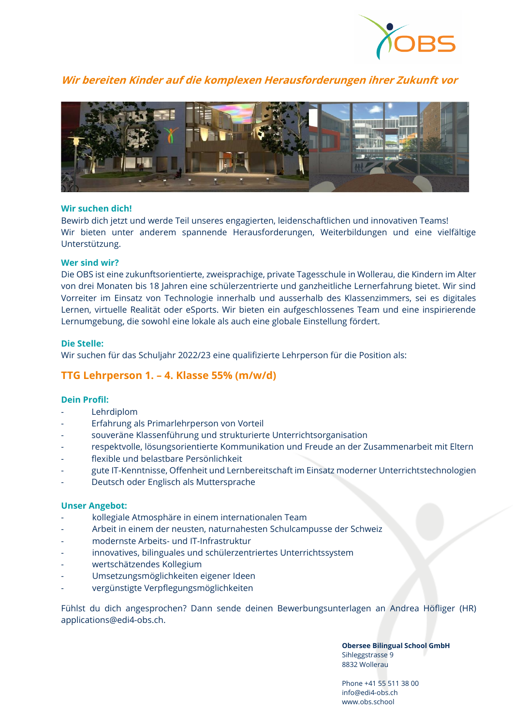

# **Wir bereiten Kinder auf die komplexen Herausforderungen ihrer Zukunft vor**



### **Wir suchen dich!**

Bewirb dich jetzt und werde Teil unseres engagierten, leidenschaftlichen und innovativen Teams! Wir bieten unter anderem spannende Herausforderungen, Weiterbildungen und eine vielfältige Unterstützung.

### **Wer sind wir?**

Die OBS ist eine zukunftsorientierte, zweisprachige, private Tagesschule in Wollerau, die Kindern im Alter von drei Monaten bis 18 Jahren eine schülerzentrierte und ganzheitliche Lernerfahrung bietet. Wir sind Vorreiter im Einsatz von Technologie innerhalb und ausserhalb des Klassenzimmers, sei es digitales Lernen, virtuelle Realität oder eSports. Wir bieten ein aufgeschlossenes Team und eine inspirierende Lernumgebung, die sowohl eine lokale als auch eine globale Einstellung fördert.

### **Die Stelle:**

Wir suchen für das Schuljahr 2022/23 eine qualifizierte Lehrperson für die Position als:

## **TTG Lehrperson 1. – 4. Klasse 55% (m/w/d)**

### **Dein Profil:**

- **Lehrdiplom**
- Erfahrung als Primarlehrperson von Vorteil
- souveräne Klassenführung und strukturierte Unterrichtsorganisation
- respektvolle, lösungsorientierte Kommunikation und Freude an der Zusammenarbeit mit Eltern
- flexible und belastbare Persönlichkeit
- gute IT-Kenntnisse, Offenheit und Lernbereitschaft im Einsatz moderner Unterrichtstechnologien
- Deutsch oder Englisch als Muttersprache

#### **Unser Angebot:**

- kollegiale Atmosphäre in einem internationalen Team
- Arbeit in einem der neusten, naturnahesten Schulcampusse der Schweiz
- modernste Arbeits- und IT-Infrastruktur
- innovatives, bilinguales und schülerzentriertes Unterrichtssystem
- wertschätzendes Kollegium
- Umsetzungsmöglichkeiten eigener Ideen
- vergünstigte Verpflegungsmöglichkeiten

Fühlst du dich angesprochen? Dann sende deinen Bewerbungsunterlagen an Andrea Höfliger (HR) [applications@edi4-obs.ch.](mailto:applications@edi4-obs.ch)

> **Obersee Bilingual School GmbH** Sihleggstrasse 9 8832 Wollerau

Phone +41 55 511 38 00 info@edi4-obs.ch www.obs.school